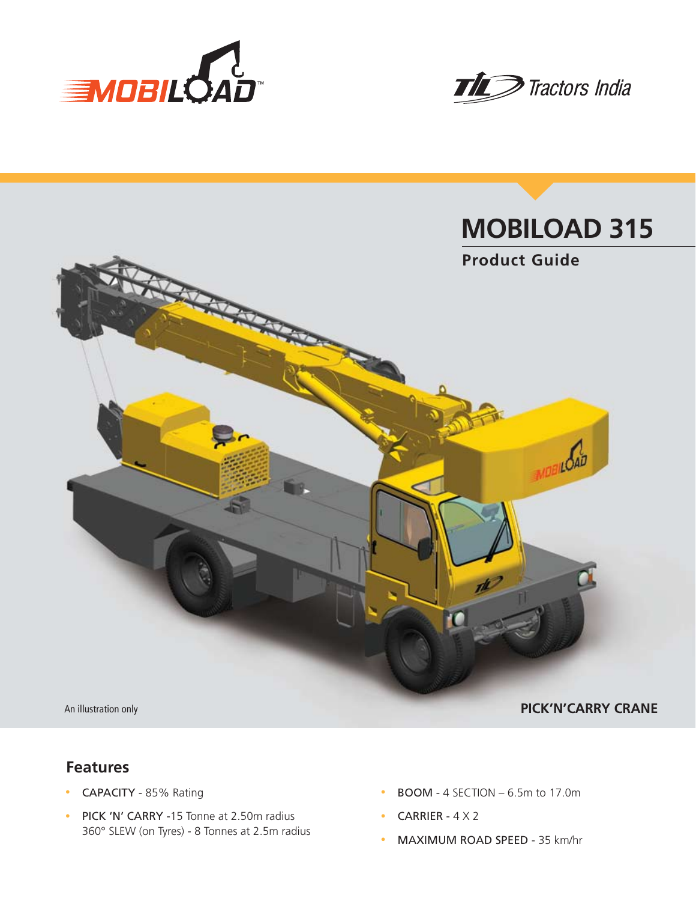





## **Features**

- CAPACITY 85% Rating
- PICK 'N' CARRY -15 Tonne at 2.50m radius 360° SLEW (on Tyres) - 8 Tonnes at 2.5m radius
- $\cdot$  BOOM 4 SECTION 6.5m to 17.0m
- CARRIER  $4 \times 2$
- MAXIMUM ROAD SPEED 35 km/hr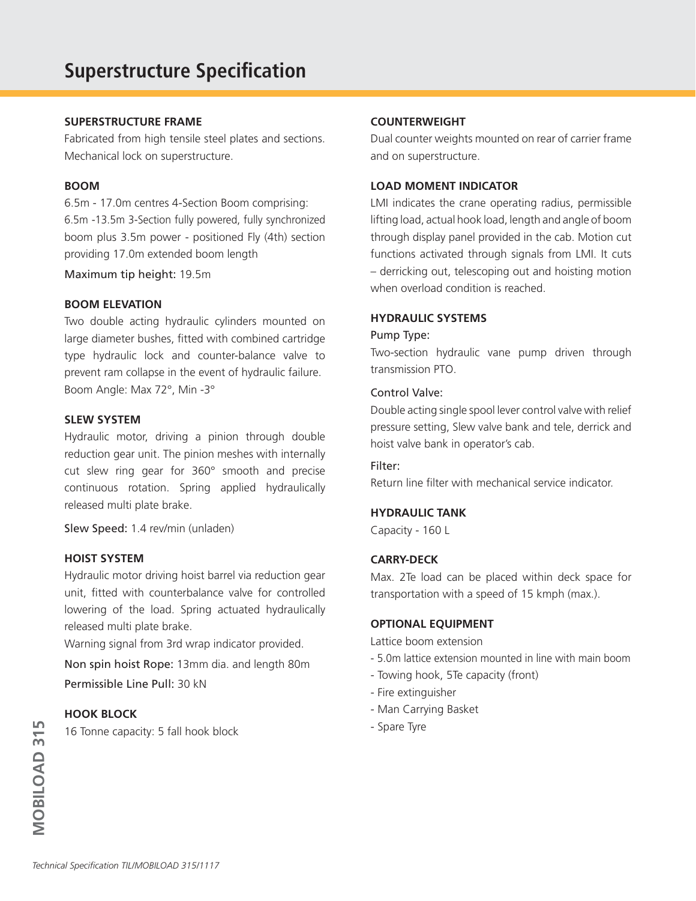### **SUPERSTRUCTURE FRAME**

Fabricated from high tensile steel plates and sections. Mechanical lock on superstructure.

#### **BOOM**

6.5m - 17.0m centres 4-Section Boom comprising: 6.5m -13.5m 3-Section fully powered, fully synchronized boom plus 3.5m power - positioned Fly (4th) section providing 17.0m extended boom length

Maximum tip height: 19.5m

#### **BOOM ELEVATION**

Two double acting hydraulic cylinders mounted on large diameter bushes, fitted with combined cartridge type hydraulic lock and counter-balance valve to prevent ram collapse in the event of hydraulic failure. Boom Angle: Max 72°, Min -3°

#### **SLEW SYSTEM**

Hydraulic motor, driving a pinion through double reduction gear unit. The pinion meshes with internally cut slew ring gear for 360° smooth and precise continuous rotation. Spring applied hydraulically released multi plate brake.

Slew Speed: 1.4 rev/min (unladen)

#### **HOIST SYSTEM**

Hydraulic motor driving hoist barrel via reduction gear unit, fitted with counterbalance valve for controlled lowering of the load. Spring actuated hydraulically released multi plate brake.

Warning signal from 3rd wrap indicator provided.

Non spin hoist Rope: 13mm dia. and length 80m Permissible Line Pull: 30 kN

### **HOOK BLOCK**

16 Tonne capacity: 5 fall hook block

#### **COUNTERWEIGHT**

Dual counter weights mounted on rear of carrier frame and on superstructure.

#### **LOAD MOMENT INDICATOR**

LMI indicates the crane operating radius, permissible lifting load, actual hook load, length and angle of boom through display panel provided in the cab. Motion cut functions activated through signals from LMI. It cuts – derricking out, telescoping out and hoisting motion when overload condition is reached.

### **HYDRAULIC SYSTEMS**

#### Pump Type:

Two-section hydraulic vane pump driven through transmission PTO.

#### Control Valve:

Double acting single spool lever control valve with relief pressure setting, Slew valve bank and tele, derrick and hoist valve bank in operator's cab.

#### Filter:

Return line filter with mechanical service indicator.

### **HYDRAULIC TANK**

Capacity - 160 L

#### **CARRY-DECK**

Max. 2Te load can be placed within deck space for transportation with a speed of 15 kmph (max.).

#### **OPTIONAL EQUIPMENT**

Lattice boom extension

- 5.0m lattice extension mounted in line with main boom
- Towing hook, 5Te capacity (front)
- Fire extinguisher
- Man Carrying Basket
- Spare Tyre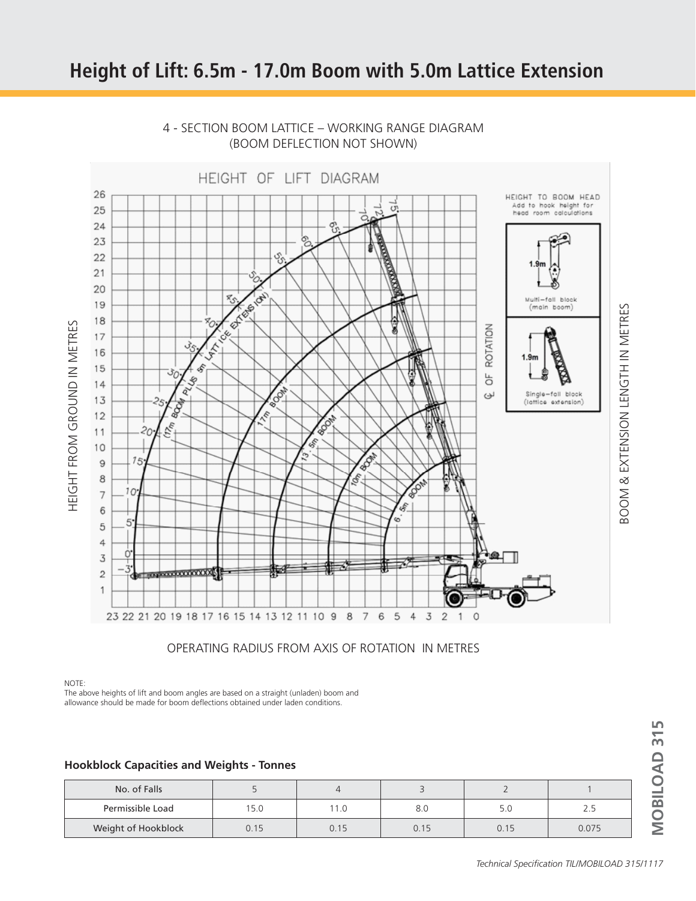## **Height of Lift: 6.5m - 17.0m Boom with 5.0m Lattice Extension**



## 4 - SECTION BOOM LATTICE – WORKING RANGE DIAGRAM (BOOM DEFLECTION NOT SHOWN)

OPERATING RADIUS FROM AXIS OF ROTATION IN METRES

NOTE:

The above heights of lift and boom angles are based on a straight (unladen) boom and allowance should be made for boom deflections obtained under laden conditions.

#### **Hookblock Capacities and Weights - Tonnes**

| No. of Falls        |     |      |      |      |       |
|---------------------|-----|------|------|------|-------|
| Permissible Load    | 5.0 | 1.0  | 8.U  | 5.C  | ر . ے |
| Weight of Hookblock |     | 0.15 | 0.15 | 0.15 | 0.075 |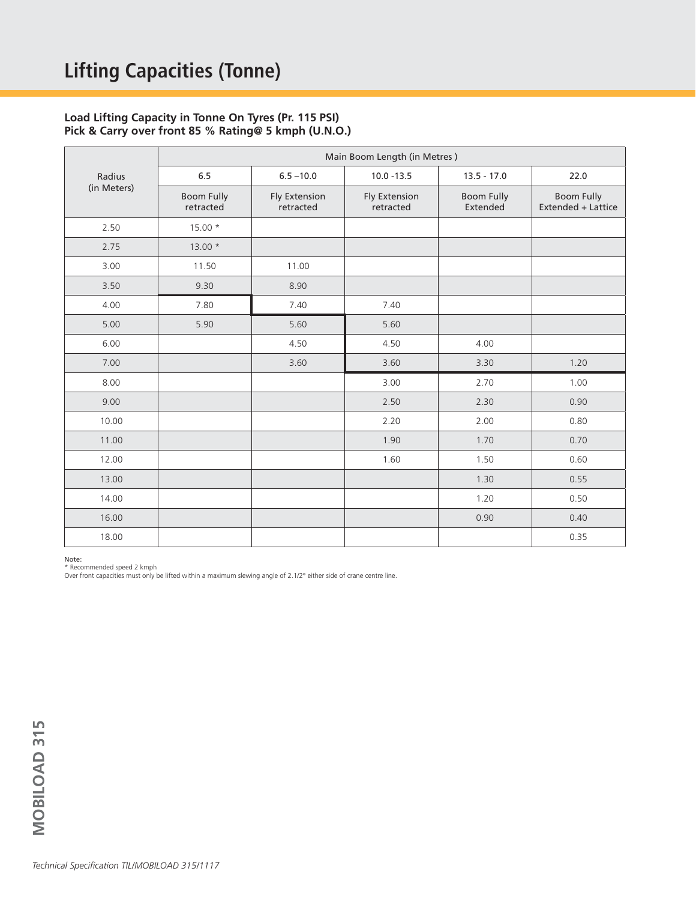#### **Load Lifting Capacity in Tonne On Tyres (Pr. 115 PSI) Pick & Carry over front 85 % Rating@ 5 kmph (U.N.O.)**

|                       | Main Boom Length (in Metres)   |                                   |                            |                               |                                  |  |  |
|-----------------------|--------------------------------|-----------------------------------|----------------------------|-------------------------------|----------------------------------|--|--|
| Radius<br>(in Meters) | 6.5                            | $6.5 - 10.0$                      | $10.0 - 13.5$              | $13.5 - 17.0$                 | 22.0                             |  |  |
|                       | <b>Boom Fully</b><br>retracted | <b>Fly Extension</b><br>retracted | Fly Extension<br>retracted | <b>Boom Fully</b><br>Extended | Boom Fully<br>Extended + Lattice |  |  |
| 2.50                  | 15.00 *                        |                                   |                            |                               |                                  |  |  |
| 2.75                  | $13.00*$                       |                                   |                            |                               |                                  |  |  |
| 3.00                  | 11.50                          | 11.00                             |                            |                               |                                  |  |  |
| 3.50                  | 9.30                           | 8.90                              |                            |                               |                                  |  |  |
| 4.00                  | 7.80                           | 7.40                              | 7.40                       |                               |                                  |  |  |
| 5.00                  | 5.90                           | 5.60                              | 5.60                       |                               |                                  |  |  |
| 6.00                  |                                | 4.50                              | 4.50                       | 4.00                          |                                  |  |  |
| 7.00                  |                                | 3.60                              | 3.60                       | 3.30                          | 1.20                             |  |  |
| 8.00                  |                                |                                   | 3.00                       | 2.70                          | 1.00                             |  |  |
| 9.00                  |                                |                                   | 2.50                       | 2.30                          | 0.90                             |  |  |
| 10.00                 |                                |                                   | 2.20                       | 2.00                          | 0.80                             |  |  |
| 11.00                 |                                |                                   | 1.90                       | 1.70                          | 0.70                             |  |  |
| 12.00                 |                                |                                   | 1.60                       | 1.50                          | 0.60                             |  |  |
| 13.00                 |                                |                                   |                            | 1.30                          | 0.55                             |  |  |
| 14.00                 |                                |                                   |                            | 1.20                          | 0.50                             |  |  |
| 16.00                 |                                |                                   |                            | 0.90                          | 0.40                             |  |  |
| 18.00                 |                                |                                   |                            |                               | 0.35                             |  |  |

Note:

\* Recommended speed 2 kmph

Over front capacities must only be lifted within a maximum slewing angle of 2.1/2° either side of crane centre line.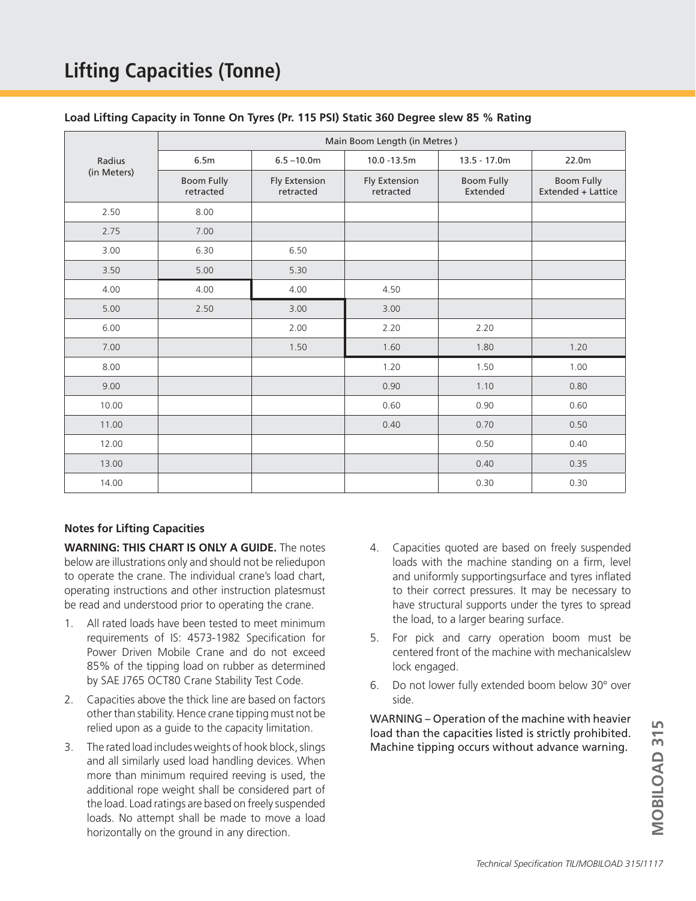# **Lifting Capacities (Tonne)**

|  |  |  | Load Lifting Capacity in Tonne On Tyres (Pr. 115 PSI) Static 360 Degree slew 85 % Rating |
|--|--|--|------------------------------------------------------------------------------------------|
|--|--|--|------------------------------------------------------------------------------------------|

|                       | Main Boom Length (in Metres)   |                                   |                                   |                               |                                         |  |  |
|-----------------------|--------------------------------|-----------------------------------|-----------------------------------|-------------------------------|-----------------------------------------|--|--|
| Radius<br>(in Meters) | 6.5m                           | $6.5 - 10.0m$                     | 10.0 -13.5m                       | $13.5 - 17.0m$                | 22.0m                                   |  |  |
|                       | <b>Boom Fully</b><br>retracted | <b>Fly Extension</b><br>retracted | <b>Fly Extension</b><br>retracted | <b>Boom Fully</b><br>Extended | <b>Boom Fully</b><br>Extended + Lattice |  |  |
| 2.50                  | 8.00                           |                                   |                                   |                               |                                         |  |  |
| 2.75                  | 7.00                           |                                   |                                   |                               |                                         |  |  |
| 3.00                  | 6.30                           | 6.50                              |                                   |                               |                                         |  |  |
| 3.50                  | 5.00                           | 5.30                              |                                   |                               |                                         |  |  |
| 4.00                  | 4.00                           | 4.00                              | 4.50                              |                               |                                         |  |  |
| 5.00                  | 2.50                           | 3.00                              | 3.00                              |                               |                                         |  |  |
| 6.00                  |                                | 2.00                              | 2.20                              | 2.20                          |                                         |  |  |
| 7.00                  |                                | 1.50                              | 1.60                              | 1.80                          | 1.20                                    |  |  |
| 8.00                  |                                |                                   | 1.20                              | 1.50                          | 1.00                                    |  |  |
| 9.00                  |                                |                                   | 0.90                              | 1.10                          | 0.80                                    |  |  |
| 10.00                 |                                |                                   | 0.60                              | 0.90                          | 0.60                                    |  |  |
| 11.00                 |                                |                                   | 0.40                              | 0.70                          | 0.50                                    |  |  |
| 12.00                 |                                |                                   |                                   | 0.50                          | 0.40                                    |  |  |
| 13.00                 |                                |                                   |                                   | 0.40                          | 0.35                                    |  |  |
| 14.00                 |                                |                                   |                                   | 0.30                          | 0.30                                    |  |  |

#### **Notes for Lifting Capacities**

**WARNING: THIS CHART IS ONLY A GUIDE.** The notes below are illustrations only and should not be reliedupon to operate the crane. The individual crane's load chart, operating instructions and other instruction platesmust be read and understood prior to operating the crane.

- 1. All rated loads have been tested to meet minimum requirements of IS: 4573-1982 Specification for Power Driven Mobile Crane and do not exceed 85% of the tipping load on rubber as determined by SAE J765 OCT80 Crane Stability Test Code.
- 2. Capacities above the thick line are based on factors other than stability. Hence crane tipping must not be relied upon as a guide to the capacity limitation.
- 3. The rated load includes weights of hook block, slings and all similarly used load handling devices. When more than minimum required reeving is used, the additional rope weight shall be considered part of the load. Load ratings are based on freely suspended loads. No attempt shall be made to move a load horizontally on the ground in any direction.
- 4. Capacities quoted are based on freely suspended loads with the machine standing on a firm, level and uniformly supportingsurface and tyres inflated to their correct pressures. It may be necessary to have structural supports under the tyres to spread the load, to a larger bearing surface.
- 5. For pick and carry operation boom must be centered front of the machine with mechanicalslew lock engaged.
- 6. Do not lower fully extended boom below 30° over side.

WARNING – Operation of the machine with heavier load than the capacities listed is strictly prohibited. Machine tipping occurs without advance warning. *Technical Specification TILIMOBILOAD 315/1117*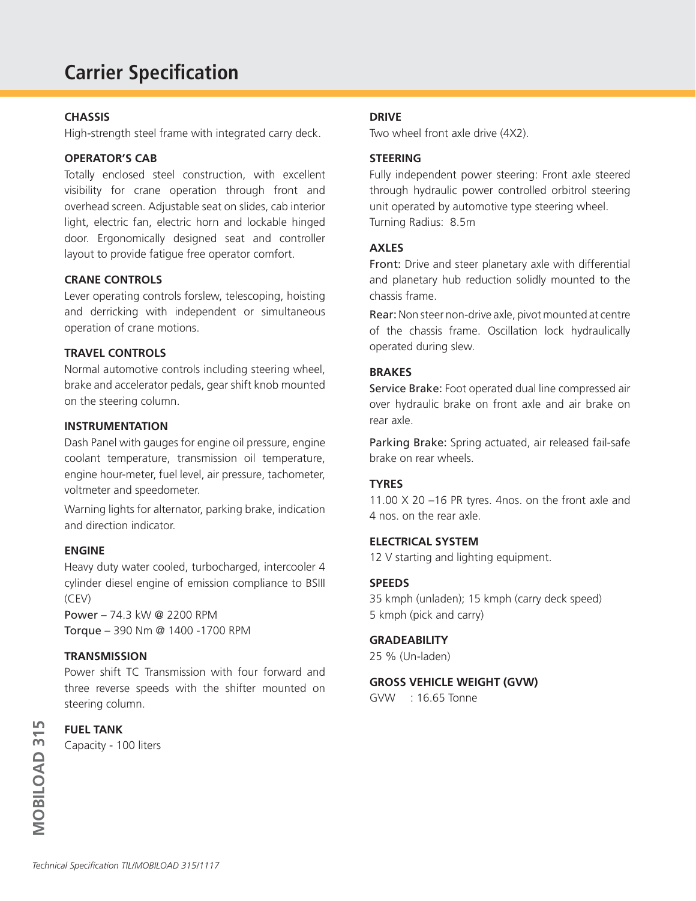# **Carrier Specification**

#### **CHASSIS**

High-strength steel frame with integrated carry deck.

### **OPERATOR'S CAB**

Totally enclosed steel construction, with excellent visibility for crane operation through front and overhead screen. Adjustable seat on slides, cab interior light, electric fan, electric horn and lockable hinged door. Ergonomically designed seat and controller layout to provide fatigue free operator comfort.

#### **CRANE CONTROLS**

Lever operating controls forslew, telescoping, hoisting and derricking with independent or simultaneous operation of crane motions.

#### **TRAVEL CONTROLS**

Normal automotive controls including steering wheel, brake and accelerator pedals, gear shift knob mounted on the steering column.

#### **INSTRUMENTATION**

Dash Panel with gauges for engine oil pressure, engine coolant temperature, transmission oil temperature, engine hour-meter, fuel level, air pressure, tachometer, voltmeter and speedometer.

Warning lights for alternator, parking brake, indication and direction indicator.

#### **ENGINE**

Heavy duty water cooled, turbocharged, intercooler 4 cylinder diesel engine of emission compliance to BSIII (CEV)

Power – 74.3 kW @ 2200 RPM Torque – 390 Nm @ 1400 -1700 RPM

#### **TRANSMISSION**

Power shift TC Transmission with four forward and three reverse speeds with the shifter mounted on steering column.

#### **FUEL TANK**

Capacity - 100 liters

#### **DRIVE**

Two wheel front axle drive (4X2).

### **STEERING**

Fully independent power steering: Front axle steered through hydraulic power controlled orbitrol steering unit operated by automotive type steering wheel. Turning Radius: 8.5m

#### **AXLES**

Front: Drive and steer planetary axle with differential and planetary hub reduction solidly mounted to the chassis frame.

Rear: Non steer non-drive axle, pivot mounted at centre of the chassis frame. Oscillation lock hydraulically operated during slew.

#### **BRAKES**

Service Brake: Foot operated dual line compressed air over hydraulic brake on front axle and air brake on rear axle.

Parking Brake: Spring actuated, air released fail-safe brake on rear wheels.

## **TYRES**

11.00 X 20 –16 PR tyres. 4nos. on the front axle and 4 nos. on the rear axle.

#### **ELECTRICAL SYSTEM**

12 V starting and lighting equipment.

#### **SPEEDS**

35 kmph (unladen); 15 kmph (carry deck speed) 5 kmph (pick and carry)

#### **GRADEABILITY**

25 % (Un-laden)

#### **GROSS VEHICLE WEIGHT (GVW)**

GVW : 16.65 Tonne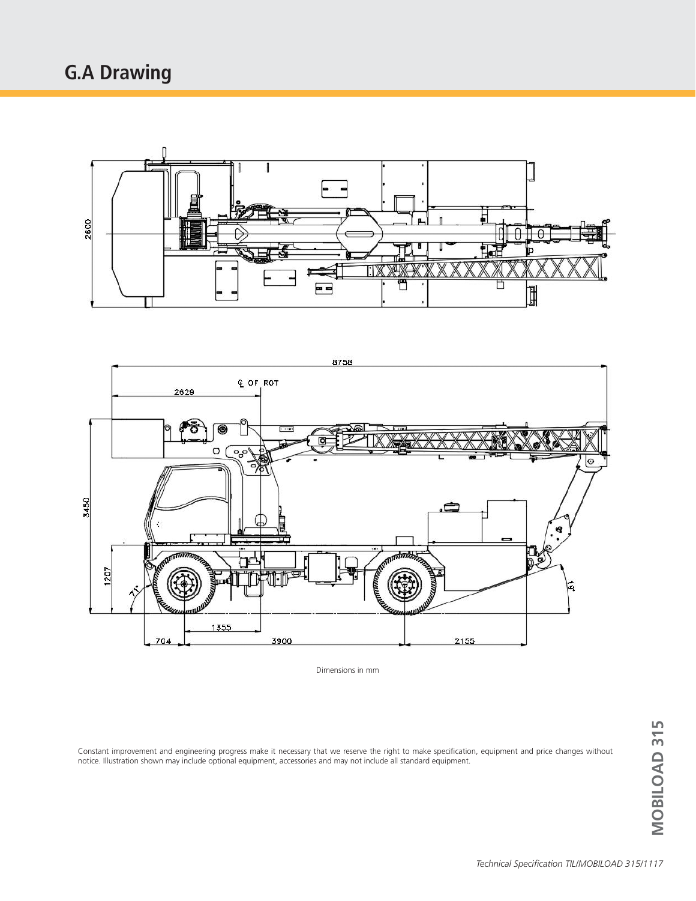# **G.A Drawing**





Dimensions in mm

Constant improvement and engineering progress make it necessary that we reserve the right to make specification, equipment and price changes without notice. Illustration shown may include optional equipment, accessories and may not include all standard equipment. *Technical Specification TIL/MOBILOAD 315/1117***MOBILOAD 315**